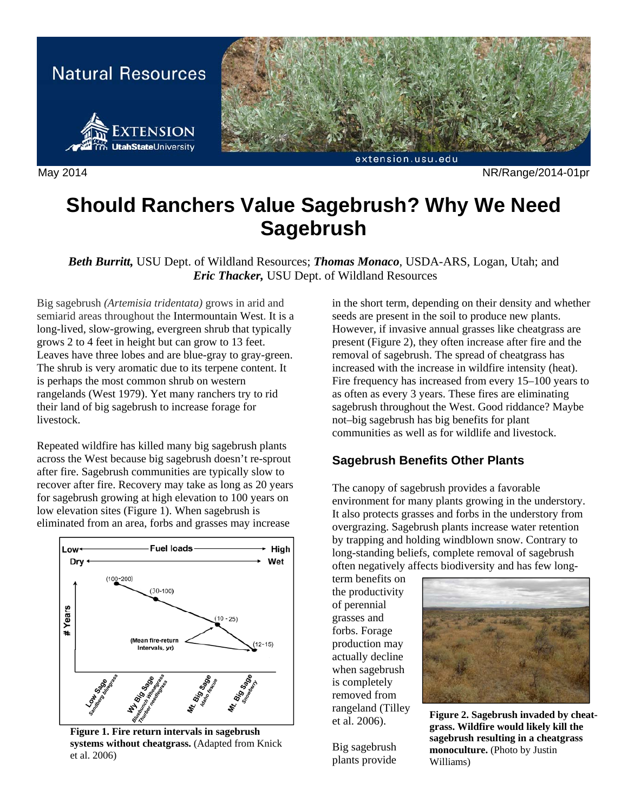

May 2014 NR/Range/2014-01pr

# **Should Ranchers Value Sagebrush? Why We Need Sagebrush**

*Beth Burritt,* USU Dept. of Wildland Resources; *Thomas Monaco*, USDA-ARS, Logan, Utah; and  *Eric Thacker,* USU Dept. of Wildland Resources

Big sagebrush *(Artemisia tridentata)* grows in arid and semiarid areas throughout the Intermountain West. It is a long-lived, slow-growing, evergreen shrub that typically grows 2 to 4 feet in height but can grow to 13 feet. Leaves have three lobes and are blue-gray to gray-green. The shrub is very aromatic due to its terpene content. It is perhaps the most common shrub on western rangelands (West 1979). Yet many ranchers try to rid their land of big sagebrush to increase forage for livestock.

Repeated wildfire has killed many big sagebrush plants across the West because big sagebrush doesn't re-sprout after fire. Sagebrush communities are typically slow to recover after fire. Recovery may take as long as 20 years for sagebrush growing at high elevation to 100 years on low elevation sites (Figure 1). When sagebrush is eliminated from an area, forbs and grasses may increase



**Figure 1. Fire return intervals in sagebrush systems without cheatgrass.** (Adapted from Knick et al. 2006)

in the short term, depending on their density and whether seeds are present in the soil to produce new plants. However, if invasive annual grasses like cheatgrass are present (Figure 2), they often increase after fire and the removal of sagebrush. The spread of cheatgrass has increased with the increase in wildfire intensity (heat). Fire frequency has increased from every 15–100 years to as often as every 3 years. These fires are eliminating sagebrush throughout the West. Good riddance? Maybe not–big sagebrush has big benefits for plant communities as well as for wildlife and livestock.

## **Sagebrush Benefits Other Plants**

The canopy of sagebrush provides a favorable environment for many plants growing in the understory. It also protects grasses and forbs in the understory from overgrazing. Sagebrush plants increase water retention by trapping and holding windblown snow. Contrary to long-standing beliefs, complete removal of sagebrush often negatively affects biodiversity and has few long-

term benefits on the productivity of perennial grasses and forbs. Forage production may actually decline when sagebrush is completely removed from rangeland (Tilley et al. 2006).

Big sagebrush plants provide



**Figure 2. Sagebrush invaded by cheatgrass. Wildfire would likely kill the sagebrush resulting in a cheatgrass monoculture.** (Photo by Justin Williams)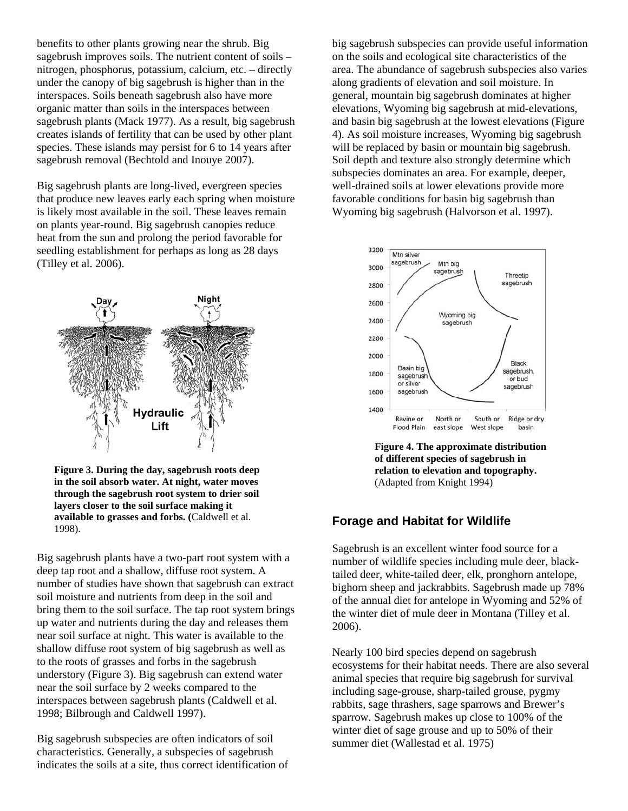benefits to other plants growing near the shrub. Big sagebrush improves soils. The nutrient content of soils – nitrogen, phosphorus, potassium, calcium, etc. – directly under the canopy of big sagebrush is higher than in the interspaces. Soils beneath sagebrush also have more organic matter than soils in the interspaces between sagebrush plants (Mack 1977). As a result, big sagebrush creates islands of fertility that can be used by other plant species. These islands may persist for 6 to 14 years after sagebrush removal (Bechtold and Inouye 2007).

Big sagebrush plants are long-lived, evergreen species that produce new leaves early each spring when moisture is likely most available in the soil. These leaves remain on plants year-round. Big sagebrush canopies reduce heat from the sun and prolong the period favorable for seedling establishment for perhaps as long as 28 days (Tilley et al. 2006).



**Figure 3. During the day, sagebrush roots deep in the soil absorb water. At night, water moves through the sagebrush root system to drier soil layers closer to the soil surface making it available to grasses and forbs. (**Caldwell et al. 1998).

Big sagebrush plants have a two-part root system with a deep tap root and a shallow, diffuse root system. A number of studies have shown that sagebrush can extract soil moisture and nutrients from deep in the soil and bring them to the soil surface. The tap root system brings up water and nutrients during the day and releases them near soil surface at night. This water is available to the shallow diffuse root system of big sagebrush as well as to the roots of grasses and forbs in the sagebrush understory (Figure 3). Big sagebrush can extend water near the soil surface by 2 weeks compared to the interspaces between sagebrush plants (Caldwell et al. 1998; Bilbrough and Caldwell 1997).

Big sagebrush subspecies are often indicators of soil characteristics. Generally, a subspecies of sagebrush indicates the soils at a site, thus correct identification of

big sagebrush subspecies can provide useful information on the soils and ecological site characteristics of the area. The abundance of sagebrush subspecies also varies along gradients of elevation and soil moisture. In general, mountain big sagebrush dominates at higher elevations, Wyoming big sagebrush at mid-elevations, and basin big sagebrush at the lowest elevations (Figure 4). As soil moisture increases, Wyoming big sagebrush will be replaced by basin or mountain big sagebrush. Soil depth and texture also strongly determine which subspecies dominates an area. For example, deeper, well-drained soils at lower elevations provide more favorable conditions for basin big sagebrush than Wyoming big sagebrush (Halvorson et al. 1997).



**Figure 4. The approximate distribution of different species of sagebrush in relation to elevation and topography.** (Adapted from Knight 1994)

#### **Forage and Habitat for Wildlife**

Sagebrush is an excellent winter food source for a number of wildlife species including mule deer, blacktailed deer, white-tailed deer, elk, pronghorn antelope, bighorn sheep and jackrabbits. Sagebrush made up 78% of the annual diet for antelope in Wyoming and 52% of the winter diet of mule deer in Montana (Tilley et al. 2006).

Nearly 100 bird species depend on sagebrush ecosystems for their habitat needs. There are also several animal species that require big sagebrush for survival including sage-grouse, sharp-tailed grouse, pygmy rabbits, sage thrashers, sage sparrows and Brewer's sparrow. Sagebrush makes up close to 100% of the winter diet of sage grouse and up to 50% of their summer diet (Wallestad et al. 1975)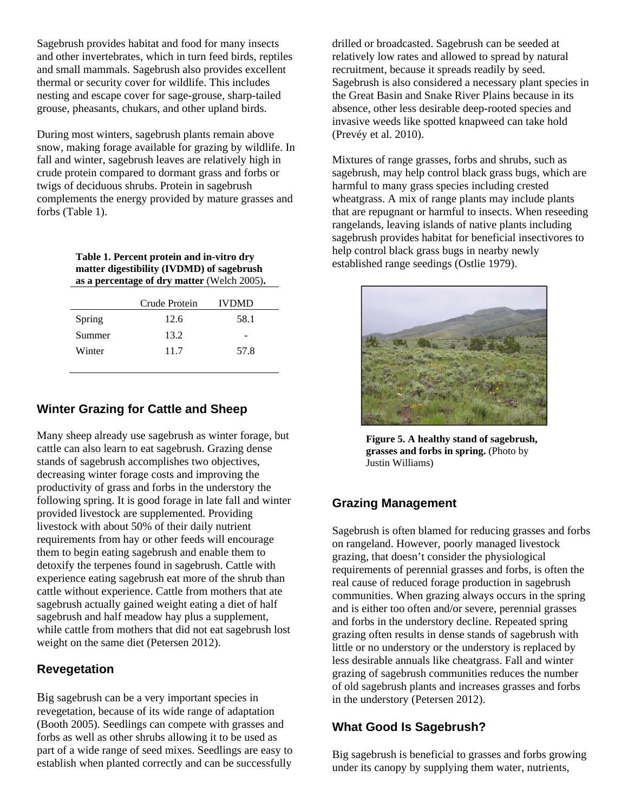Sagebrush provides habitat and food for many insects and other invertebrates, which in turn feed birds, reptiles and small mammals. Sagebrush also provides excellent thermal or security cover for wildlife. This includes nesting and escape cover for sage-grouse, sharp-tailed grouse, pheasants, chukars, and other upland birds.

During most winters, sagebrush plants remain above snow, making forage available for grazing by wildlife. In fall and winter, sagebrush leaves are relatively high in crude protein compared to dormant grass and forbs or twigs of deciduous shrubs. Protein in sagebrush complements the energy provided by mature grasses and forbs (Table 1).

> **Table 1. Percent protein and in-vitro dry matter digestibility (IVDMD) of sagebrush as a percentage of dry matter** (Welch 2005)**.**

|        | Crude Protein | <b>IVDMD</b> |
|--------|---------------|--------------|
| Spring | 12.6          | 58.1         |
| Summer | 13.2          |              |
| Winter | 11.7          | 57.8         |
|        |               |              |

## **Winter Grazing for Cattle and Sheep**

Many sheep already use sagebrush as winter forage, but cattle can also learn to eat sagebrush. Grazing dense stands of sagebrush accomplishes two objectives, decreasing winter forage costs and improving the productivity of grass and forbs in the understory the following spring. It is good forage in late fall and winter provided livestock are supplemented. Providing livestock with about 50% of their daily nutrient requirements from hay or other feeds will encourage them to begin eating sagebrush and enable them to detoxify the terpenes found in sagebrush. Cattle with experience eating sagebrush eat more of the shrub than cattle without experience. Cattle from mothers that ate sagebrush actually gained weight eating a diet of half sagebrush and half meadow hay plus a supplement, while cattle from mothers that did not eat sagebrush lost weight on the same diet (Petersen 2012).

#### **Revegetation**

Big sagebrush can be a very important species in revegetation, because of its wide range of adaptation (Booth 2005). Seedlings can compete with grasses and forbs as well as other shrubs allowing it to be used as part of a wide range of seed mixes. Seedlings are easy to establish when planted correctly and can be successfully

drilled or broadcasted. Sagebrush can be seeded at relatively low rates and allowed to spread by natural recruitment, because it spreads readily by seed. Sagebrush is also considered a necessary plant species in the Great Basin and Snake River Plains because in its absence, other less desirable deep-rooted species and invasive weeds like spotted knapweed can take hold (Prevéy et al. 2010).

Mixtures of range grasses, forbs and shrubs, such as sagebrush, may help control black grass bugs, which are harmful to many grass species including crested wheatgrass. A mix of range plants may include plants that are repugnant or harmful to insects. When reseeding rangelands, leaving islands of native plants including sagebrush provides habitat for beneficial insectivores to help control black grass bugs in nearby newly established range seedings (Ostlie 1979).



**Figure 5. A healthy stand of sagebrush, grasses and forbs in spring.** (Photo by Justin Williams)

#### **Grazing Management**

Sagebrush is often blamed for reducing grasses and forbs on rangeland. However, poorly managed livestock grazing, that doesn't consider the physiological requirements of perennial grasses and forbs, is often the real cause of reduced forage production in sagebrush communities. When grazing always occurs in the spring and is either too often and/or severe, perennial grasses and forbs in the understory decline. Repeated spring grazing often results in dense stands of sagebrush with little or no understory or the understory is replaced by less desirable annuals like cheatgrass. Fall and winter grazing of sagebrush communities reduces the number of old sagebrush plants and increases grasses and forbs in the understory (Petersen 2012).

## **What Good Is Sagebrush?**

Big sagebrush is beneficial to grasses and forbs growing under its canopy by supplying them water, nutrients,